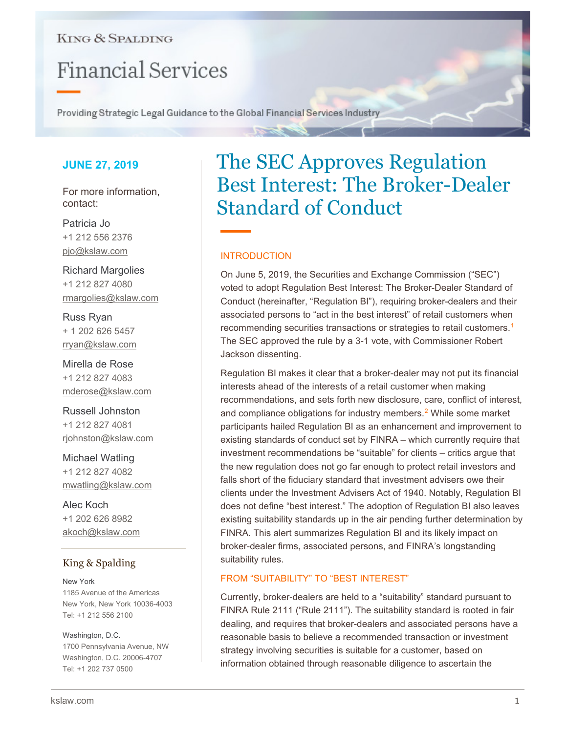## **KING & SPALDING**

# **Financial Services**

Providing Strategic Legal Guidance to the Global Financial Services Industry

## **JUNE 27, 2019**

For more information, contact:

Patricia Jo +1 212 556 2376 pjo@kslaw.com

Richard Margolies +1 212 827 4080 rmargolies@kslaw.com

Russ Ryan + 1 202 626 5457 rryan@kslaw.com

Mirella de Rose +1 212 827 4083 mderose@kslaw.com

Russell Johnston +1 212 827 4081 rjohnston@kslaw.com

Michael Watling +1 212 827 4082 mwatling@kslaw.com

Alec Koch +1 202 626 8982 akoch@kslaw.com

## King & Spalding

New York 1185 Avenue of the Americas New York, New York 10036-4003 Tel: +1 212 556 2100

#### Washington, D.C. 1700 Pennsylvania Avenue, NW Washington, D.C. 20006-4707

Tel: +1 202 737 0500

## The SEC Approves Regulation Best Interest: The Broker-Dealer Standard of Conduct

### INTRODUCTION

On June 5, 2019, the Securities and Exchange Commission ("SEC") voted to adopt Regulation Best Interest: The Broker-Dealer Standard of Conduct (hereinafter, "Regulation BI"), requiring broker-dealers and their associated persons to "act in the best interest" of retail customers when recommending securities transactions or strategies to retail customers.<sup>[1](#page-3-0)</sup> The SEC approved the rule by a 3-1 vote, with Commissioner Robert Jackson dissenting.

Regulation BI makes it clear that a broker-dealer may not put its financial interests ahead of the interests of a retail customer when making recommendations, and sets forth new disclosure, care, conflict of interest, and compliance obligations for industry members.<sup>[2](#page-3-1)</sup> While some market participants hailed Regulation BI as an enhancement and improvement to existing standards of conduct set by FINRA – which currently require that investment recommendations be "suitable" for clients – critics argue that the new regulation does not go far enough to protect retail investors and falls short of the fiduciary standard that investment advisers owe their clients under the Investment Advisers Act of 1940. Notably, Regulation BI does not define "best interest." The adoption of Regulation BI also leaves existing suitability standards up in the air pending further determination by FINRA. This alert summarizes Regulation BI and its likely impact on broker-dealer firms, associated persons, and FINRA's longstanding suitability rules.

### FROM "SUITABILITY" TO "BEST INTEREST"

Currently, broker-dealers are held to a "suitability" standard pursuant to FINRA Rule 2111 ("Rule 2111"). The suitability standard is rooted in fair dealing, and requires that broker-dealers and associated persons have a reasonable basis to believe a recommended transaction or investment strategy involving securities is suitable for a customer, based on information obtained through reasonable diligence to ascertain the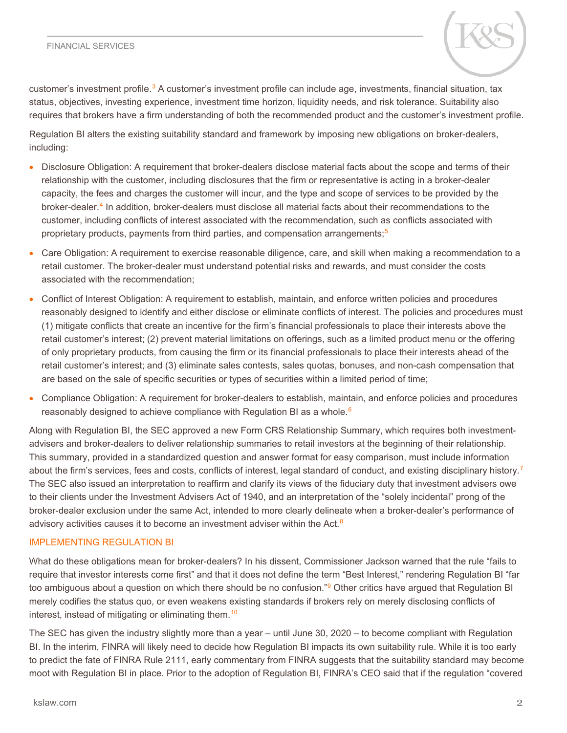#### FINANCIAL SERVICES



customer's investment profile.[3](#page-3-2) A customer's investment profile can include age, investments, financial situation, tax status, objectives, investing experience, investment time horizon, liquidity needs, and risk tolerance. Suitability also requires that brokers have a firm understanding of both the recommended product and the customer's investment profile.

Regulation BI alters the existing suitability standard and framework by imposing new obligations on broker-dealers, including:

- Disclosure Obligation: A requirement that broker-dealers disclose material facts about the scope and terms of their relationship with the customer, including disclosures that the firm or representative is acting in a broker-dealer capacity, the fees and charges the customer will incur, and the type and scope of services to be provided by the broker-dealer.[4](#page-3-3) In addition, broker-dealers must disclose all material facts about their recommendations to the customer, including conflicts of interest associated with the recommendation, such as conflicts associated with proprietary products, payments from third parties, and compensation arrangements;<sup>[5](#page-3-4)</sup>
- Care Obligation: A requirement to exercise reasonable diligence, care, and skill when making a recommendation to a retail customer. The broker-dealer must understand potential risks and rewards, and must consider the costs associated with the recommendation;
- Conflict of Interest Obligation: A requirement to establish, maintain, and enforce written policies and procedures reasonably designed to identify and either disclose or eliminate conflicts of interest. The policies and procedures must (1) mitigate conflicts that create an incentive for the firm's financial professionals to place their interests above the retail customer's interest; (2) prevent material limitations on offerings, such as a limited product menu or the offering of only proprietary products, from causing the firm or its financial professionals to place their interests ahead of the retail customer's interest; and (3) eliminate sales contests, sales quotas, bonuses, and non-cash compensation that are based on the sale of specific securities or types of securities within a limited period of time;
- Compliance Obligation: A requirement for broker-dealers to establish, maintain, and enforce policies and procedures reasonably designed to achieve compliance with Regulation BI as a whole.<sup>[6](#page-3-5)</sup>

Along with Regulation BI, the SEC approved a new Form CRS Relationship Summary, which requires both investmentadvisers and broker-dealers to deliver relationship summaries to retail investors at the beginning of their relationship. This summary, provided in a standardized question and answer format for easy comparison, must include information about the firm's services, fees and costs, conflicts of interest, legal standard of conduct, and existing disciplinary history.<sup>[7](#page-3-6)</sup> The SEC also issued an interpretation to reaffirm and clarify its views of the fiduciary duty that investment advisers owe to their clients under the Investment Advisers Act of 1940, and an interpretation of the "solely incidental" prong of the broker-dealer exclusion under the same Act, intended to more clearly delineate when a broker-dealer's performance of advisory activities causes it to become an investment adviser within the Act.<sup>[8](#page-3-7)</sup>

### IMPLEMENTING REGULATION BI

What do these obligations mean for broker-dealers? In his dissent, Commissioner Jackson warned that the rule "fails to require that investor interests come first" and that it does not define the term "Best Interest," rendering Regulation BI "far too ambiguous about a question on which there should be no confusion."<sup>[9](#page-3-8)</sup> Other critics have argued that Regulation BI merely codifies the status quo, or even weakens existing standards if brokers rely on merely disclosing conflicts of interest, instead of mitigating or eliminating them.<sup>[10](#page-3-9)</sup>

The SEC has given the industry slightly more than a year – until June 30, 2020 – to become compliant with Regulation BI. In the interim, FINRA will likely need to decide how Regulation BI impacts its own suitability rule. While it is too early to predict the fate of FINRA Rule 2111, early commentary from FINRA suggests that the suitability standard may become moot with Regulation BI in place. Prior to the adoption of Regulation BI, FINRA's CEO said that if the regulation "covered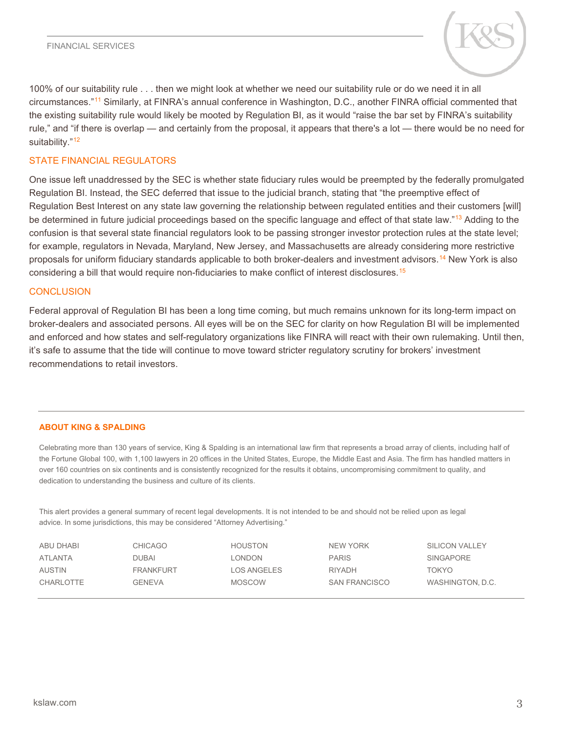

100% of our suitability rule . . . then we might look at whether we need our suitability rule or do we need it in all circumstances."[11](#page-3-10) Similarly, at FINRA's annual conference in Washington, D.C., another FINRA official commented that the existing suitability rule would likely be mooted by Regulation BI, as it would "raise the bar set by FINRA's suitability rule," and "if there is overlap — and certainly from the proposal, it appears that there's a lot — there would be no need for suitability."<sup>[12](#page-3-11)</sup>

#### STATE FINANCIAL REGULATORS

One issue left unaddressed by the SEC is whether state fiduciary rules would be preempted by the federally promulgated Regulation BI. Instead, the SEC deferred that issue to the judicial branch, stating that "the preemptive effect of Regulation Best Interest on any state law governing the relationship between regulated entities and their customers [will] be determined in future judicial proceedings based on the specific language and effect of that state law."<sup>[13](#page-3-12)</sup> Adding to the confusion is that several state financial regulators look to be passing stronger investor protection rules at the state level; for example, regulators in Nevada, Maryland, New Jersey, and Massachusetts are already considering more restrictive proposals for uniform fiduciary standards applicable to both broker-dealers and investment advisors[.14](#page-3-13) New York is also considering a bill that would require non-fiduciaries to make conflict of interest disclosures.[15](#page-3-14)

#### **CONCLUSION**

Federal approval of Regulation BI has been a long time coming, but much remains unknown for its long-term impact on broker-dealers and associated persons. All eyes will be on the SEC for clarity on how Regulation BI will be implemented and enforced and how states and self-regulatory organizations like FINRA will react with their own rulemaking. Until then, it's safe to assume that the tide will continue to move toward stricter regulatory scrutiny for brokers' investment recommendations to retail investors.

#### **ABOUT KING & SPALDING**

Celebrating more than 130 years of service, King & Spalding is an international law firm that represents a broad array of clients, including half of the Fortune Global 100, with 1,100 lawyers in 20 offices in the United States, Europe, the Middle East and Asia. The firm has handled matters in over 160 countries on six continents and is consistently recognized for the results it obtains, uncompromising commitment to quality, and dedication to understanding the business and culture of its clients.

This alert provides a general summary of recent legal developments. It is not intended to be and should not be relied upon as legal advice. In some jurisdictions, this may be considered "Attorney Advertising."

| ABU DHABI | CHICAGO          | <b>HOUSTON</b> | NEW YORK             | <b>SILICON VALLEY</b> |
|-----------|------------------|----------------|----------------------|-----------------------|
| ATLANTA   | DUBAI            | <b>LONDON</b>  | <b>PARIS</b>         | <b>SINGAPORE</b>      |
| AUSTIN    | <b>FRANKFURT</b> | LOS ANGELES    | <b>RIYADH</b>        | TOKYO                 |
| CHARLOTTE | GENEVA           | <b>MOSCOW</b>  | <b>SAN FRANCISCO</b> | WASHINGTON, D.C.      |